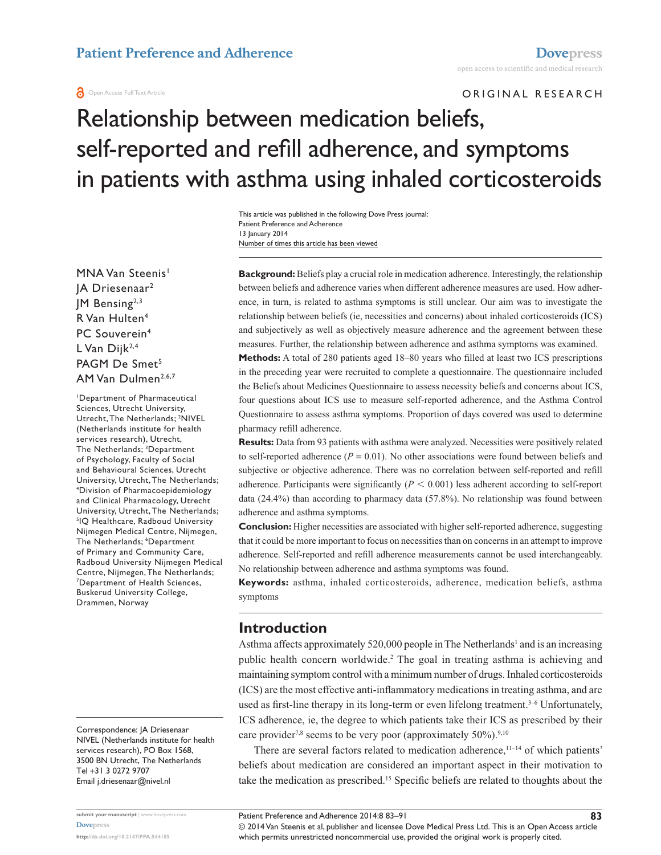#### **a** Open Access Full Text Article

ORIGINAL RESEARCH

# Relationship between medication beliefs, self-reported and refill adherence, and symptoms in patients with asthma using inhaled corticosteroids

Number of times this article has been viewed This article was published in the following Dove Press journal: Patient Preference and Adherence 13 January 2014

MNA Van Steenis<sup>1</sup> JA Driesenaar2 JM Bensing2,3 R Van Hulten4 PC Souverein<sup>4</sup> L Van Dijk<sup>2,4</sup> PAGM De Smet<sup>5</sup> AM Van Dulmen<sup>2,6,7</sup>

1 Department of Pharmaceutical Sciences, Utrecht University, Utrecht, The Netherlands; <sup>2</sup>NIVEL (Netherlands institute for health services research), Utrecht, The Netherlands; 3 Department of Psychology, Faculty of Social and Behavioural Sciences, Utrecht University, Utrecht, The Netherlands; 4 Division of Pharmacoepidemiology and Clinical Pharmacology, Utrecht University, Utrecht, The Netherlands; 5 IQ Healthcare, Radboud University Nijmegen Medical Centre, Nijmegen, The Netherlands; <sup>6</sup>Department of Primary and Community Care, Radboud University Nijmegen Medical Centre, Nijmegen, The Netherlands; 7 Department of Health Sciences, Buskerud University College, Drammen, Norway

Correspondence: JA Driesenaar NIVEL (Netherlands institute for health services research), PO Box 1568, 3500 BN Utrecht, The Netherlands Tel +31 3 0272 9707 Email j[.driesenaar@nivel.nl](mailto:j.driesenaar@nivel.nl)

**Background:** Beliefs play a crucial role in medication adherence. Interestingly, the relationship between beliefs and adherence varies when different adherence measures are used. How adherence, in turn, is related to asthma symptoms is still unclear. Our aim was to investigate the relationship between beliefs (ie, necessities and concerns) about inhaled corticosteroids (ICS) and subjectively as well as objectively measure adherence and the agreement between these measures. Further, the relationship between adherence and asthma symptoms was examined.

**Methods:** A total of 280 patients aged 18–80 years who filled at least two ICS prescriptions in the preceding year were recruited to complete a questionnaire. The questionnaire included the Beliefs about Medicines Questionnaire to assess necessity beliefs and concerns about ICS, four questions about ICS use to measure self-reported adherence, and the Asthma Control Questionnaire to assess asthma symptoms. Proportion of days covered was used to determine pharmacy refill adherence.

**Results:** Data from 93 patients with asthma were analyzed. Necessities were positively related to self-reported adherence  $(P = 0.01)$ . No other associations were found between beliefs and subjective or objective adherence. There was no correlation between self-reported and refill adherence. Participants were significantly  $(P \le 0.001)$  less adherent according to self-report data (24.4%) than according to pharmacy data (57.8%). No relationship was found between adherence and asthma symptoms.

**Conclusion:** Higher necessities are associated with higher self-reported adherence, suggesting that it could be more important to focus on necessities than on concerns in an attempt to improve adherence. Self-reported and refill adherence measurements cannot be used interchangeably. No relationship between adherence and asthma symptoms was found.

**Keywords:** asthma, inhaled corticosteroids, adherence, medication beliefs, asthma symptoms

### **Introduction**

Asthma affects approximately 520,000 people in The Netherlands<sup>1</sup> and is an increasing public health concern worldwide.<sup>2</sup> The goal in treating asthma is achieving and maintaining symptom control with a minimum number of drugs. Inhaled corticosteroids (ICS) are the most effective anti-inflammatory medications in treating asthma, and are used as first-line therapy in its long-term or even lifelong treatment.<sup>3-6</sup> Unfortunately, ICS adherence, ie, the degree to which patients take their ICS as prescribed by their care provider<sup>7,8</sup> seems to be very poor (approximately  $50\%$ ).<sup>9,10</sup>

There are several factors related to medication adherence, $11-14$  of which patients' beliefs about medication are considered an important aspect in their motivation to take the medication as prescribed.15 Specific beliefs are related to thoughts about the

© 2014 Van Steenis et al, publisher and licensee Dove Medical Press Ltd. This is an Open Access article which permits unrestricted noncommercial use, provided the original work is properly cited.

Patient Preference and Adherence 2014:8 83–91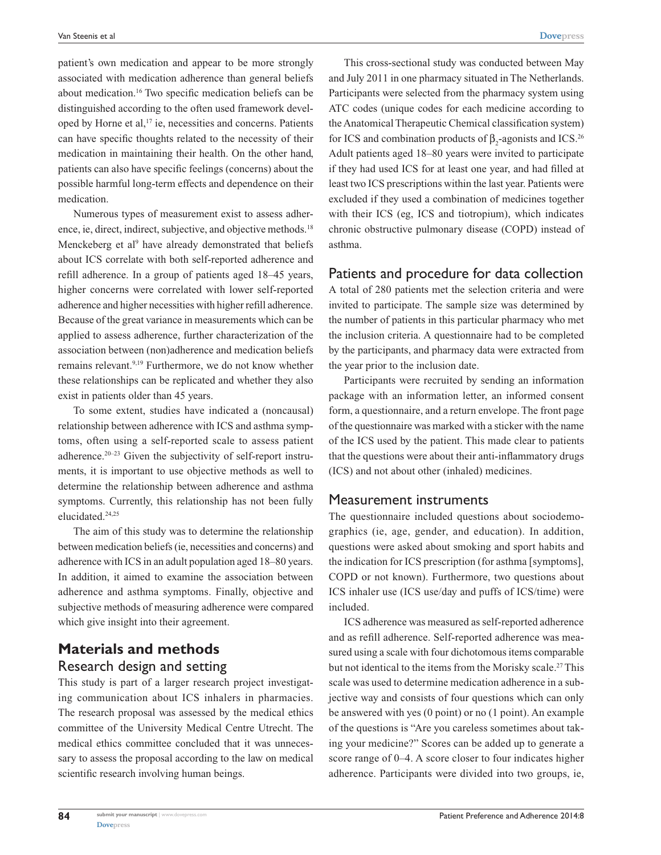patient's own medication and appear to be more strongly associated with medication adherence than general beliefs about medication.16 Two specific medication beliefs can be distinguished according to the often used framework developed by Horne et al,<sup>17</sup> ie, necessities and concerns. Patients can have specific thoughts related to the necessity of their medication in maintaining their health. On the other hand, patients can also have specific feelings (concerns) about the possible harmful long-term effects and dependence on their medication.

Numerous types of measurement exist to assess adherence, ie, direct, indirect, subjective, and objective methods.<sup>18</sup> Menckeberg et al<sup>9</sup> have already demonstrated that beliefs about ICS correlate with both self-reported adherence and refill adherence. In a group of patients aged 18–45 years, higher concerns were correlated with lower self-reported adherence and higher necessities with higher refill adherence. Because of the great variance in measurements which can be applied to assess adherence, further characterization of the association between (non)adherence and medication beliefs remains relevant.<sup>9,19</sup> Furthermore, we do not know whether these relationships can be replicated and whether they also exist in patients older than 45 years.

To some extent, studies have indicated a (noncausal) relationship between adherence with ICS and asthma symptoms, often using a self-reported scale to assess patient adherence.<sup>20–23</sup> Given the subjectivity of self-report instruments, it is important to use objective methods as well to determine the relationship between adherence and asthma symptoms. Currently, this relationship has not been fully elucidated.24,25

The aim of this study was to determine the relationship between medication beliefs (ie, necessities and concerns) and adherence with ICS in an adult population aged 18–80 years. In addition, it aimed to examine the association between adherence and asthma symptoms. Finally, objective and subjective methods of measuring adherence were compared which give insight into their agreement.

# **Materials and methods** Research design and setting

This study is part of a larger research project investigating communication about ICS inhalers in pharmacies. The research proposal was assessed by the medical ethics committee of the University Medical Centre Utrecht. The medical ethics committee concluded that it was unnecessary to assess the proposal according to the law on medical scientific research involving human beings.

This cross-sectional study was conducted between May and July 2011 in one pharmacy situated in The Netherlands. Participants were selected from the pharmacy system using ATC codes (unique codes for each medicine according to the Anatomical Therapeutic Chemical classification system) for ICS and combination products of  $\beta_2$ -agonists and ICS.<sup>26</sup> Adult patients aged 18–80 years were invited to participate if they had used ICS for at least one year, and had filled at least two ICS prescriptions within the last year. Patients were excluded if they used a combination of medicines together with their ICS (eg, ICS and tiotropium), which indicates chronic obstructive pulmonary disease (COPD) instead of asthma.

#### Patients and procedure for data collection

A total of 280 patients met the selection criteria and were invited to participate. The sample size was determined by the number of patients in this particular pharmacy who met the inclusion criteria. A questionnaire had to be completed by the participants, and pharmacy data were extracted from the year prior to the inclusion date.

Participants were recruited by sending an information package with an information letter, an informed consent form, a questionnaire, and a return envelope. The front page of the questionnaire was marked with a sticker with the name of the ICS used by the patient. This made clear to patients that the questions were about their anti-inflammatory drugs (ICS) and not about other (inhaled) medicines.

#### Measurement instruments

The questionnaire included questions about sociodemographics (ie, age, gender, and education). In addition, questions were asked about smoking and sport habits and the indication for ICS prescription (for asthma [symptoms], COPD or not known). Furthermore, two questions about ICS inhaler use (ICS use/day and puffs of ICS/time) were included.

ICS adherence was measured as self-reported adherence and as refill adherence. Self-reported adherence was measured using a scale with four dichotomous items comparable but not identical to the items from the Morisky scale.<sup>27</sup> This scale was used to determine medication adherence in a subjective way and consists of four questions which can only be answered with yes (0 point) or no (1 point). An example of the questions is "Are you careless sometimes about taking your medicine?" Scores can be added up to generate a score range of 0–4. A score closer to four indicates higher adherence. Participants were divided into two groups, ie,

**84**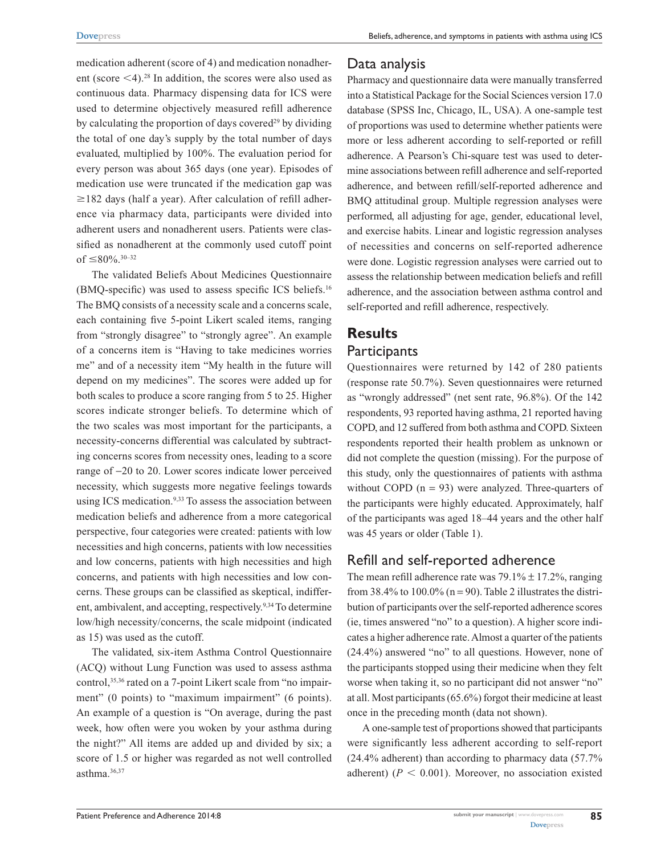medication adherent (score of 4) and medication nonadherent (score  $\leq$ 4).<sup>28</sup> In addition, the scores were also used as continuous data. Pharmacy dispensing data for ICS were used to determine objectively measured refill adherence by calculating the proportion of days covered<sup>29</sup> by dividing the total of one day's supply by the total number of days evaluated, multiplied by 100%. The evaluation period for every person was about 365 days (one year). Episodes of medication use were truncated if the medication gap was  $\geq$ 182 days (half a year). After calculation of refill adherence via pharmacy data, participants were divided into adherent users and nonadherent users. Patients were classified as nonadherent at the commonly used cutoff point of  $\leq 80\%$ .<sup>30–32</sup>

The validated Beliefs About Medicines Questionnaire (BMQ-specific) was used to assess specific ICS beliefs.16 The BMQ consists of a necessity scale and a concerns scale, each containing five 5-point Likert scaled items, ranging from "strongly disagree" to "strongly agree". An example of a concerns item is "Having to take medicines worries me" and of a necessity item "My health in the future will depend on my medicines". The scores were added up for both scales to produce a score ranging from 5 to 25. Higher scores indicate stronger beliefs. To determine which of the two scales was most important for the participants, a necessity-concerns differential was calculated by subtracting concerns scores from necessity ones, leading to a score range of -20 to 20. Lower scores indicate lower perceived necessity, which suggests more negative feelings towards using ICS medication.<sup>9,33</sup> To assess the association between medication beliefs and adherence from a more categorical perspective, four categories were created: patients with low necessities and high concerns, patients with low necessities and low concerns, patients with high necessities and high concerns, and patients with high necessities and low concerns. These groups can be classified as skeptical, indifferent, ambivalent, and accepting, respectively.<sup>9,34</sup> To determine low/high necessity/concerns, the scale midpoint (indicated as 15) was used as the cutoff.

The validated, six-item Asthma Control Questionnaire (ACQ) without Lung Function was used to assess asthma control,<sup>35,36</sup> rated on a 7-point Likert scale from "no impairment" (0 points) to "maximum impairment" (6 points). An example of a question is "On average, during the past week, how often were you woken by your asthma during the night?" All items are added up and divided by six; a score of 1.5 or higher was regarded as not well controlled asthma.36,37

### Data analysis

Pharmacy and questionnaire data were manually transferred into a Statistical Package for the Social Sciences version 17.0 database (SPSS Inc, Chicago, IL, USA). A one-sample test of proportions was used to determine whether patients were more or less adherent according to self-reported or refill adherence. A Pearson's Chi-square test was used to determine associations between refill adherence and self-reported adherence, and between refill/self-reported adherence and BMQ attitudinal group. Multiple regression analyses were performed, all adjusting for age, gender, educational level, and exercise habits. Linear and logistic regression analyses of necessities and concerns on self-reported adherence were done. Logistic regression analyses were carried out to assess the relationship between medication beliefs and refill adherence, and the association between asthma control and self-reported and refill adherence, respectively.

# **Results Participants**

Questionnaires were returned by 142 of 280 patients (response rate 50.7%). Seven questionnaires were returned as "wrongly addressed" (net sent rate, 96.8%). Of the 142 respondents, 93 reported having asthma, 21 reported having COPD, and 12 suffered from both asthma and COPD. Sixteen respondents reported their health problem as unknown or did not complete the question (missing). For the purpose of this study, only the questionnaires of patients with asthma without COPD  $(n = 93)$  were analyzed. Three-quarters of the participants were highly educated. Approximately, half of the participants was aged 18–44 years and the other half was 45 years or older (Table 1).

# Refill and self-reported adherence

The mean refill adherence rate was  $79.1\% \pm 17.2\%$ , ranging from 38.4% to  $100.0\%$  (n = 90). Table 2 illustrates the distribution of participants over the self-reported adherence scores (ie, times answered "no" to a question). A higher score indicates a higher adherence rate. Almost a quarter of the patients (24.4%) answered "no" to all questions. However, none of the participants stopped using their medicine when they felt worse when taking it, so no participant did not answer "no" at all. Most participants (65.6%) forgot their medicine at least once in the preceding month (data not shown).

A one-sample test of proportions showed that participants were significantly less adherent according to self-report (24.4% adherent) than according to pharmacy data (57.7% adherent) ( $P < 0.001$ ). Moreover, no association existed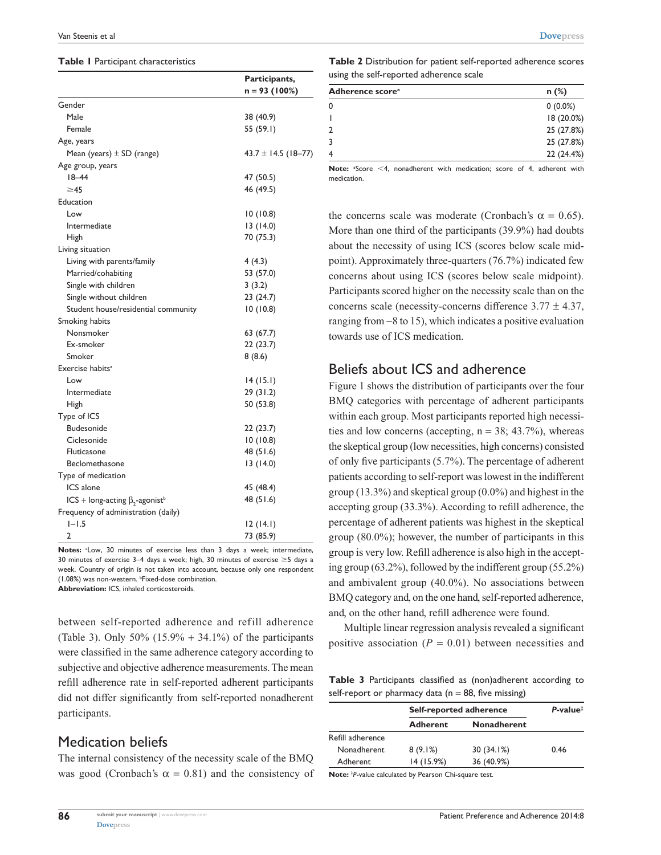#### **Table 1** Participant characteristics

|                                                   | Participants,           |  |
|---------------------------------------------------|-------------------------|--|
|                                                   | $n = 93 (100%)$         |  |
| Gender                                            |                         |  |
| Male                                              | 38 (40.9)               |  |
| Female                                            | 55 (59.1)               |  |
| Age, years                                        |                         |  |
| Mean (years) $\pm$ SD (range)                     | $43.7 \pm 14.5$ (18-77) |  |
| Age group, years                                  |                         |  |
| $18 - 44$                                         | 47 (50.5)               |  |
| $\geq$ 45                                         | 46 (49.5)               |  |
| Education                                         |                         |  |
| Low                                               | 10(10.8)                |  |
| Intermediate                                      | 13(14.0)                |  |
| High                                              | 70 (75.3)               |  |
| Living situation                                  |                         |  |
| Living with parents/family                        | 4(4.3)                  |  |
| Married/cohabiting                                | 53 (57.0)               |  |
| Single with children                              | 3(3.2)                  |  |
| Single without children                           | 23 (24.7)               |  |
| Student house/residential community               | 10(10.8)                |  |
| Smoking habits                                    |                         |  |
| Nonsmoker                                         | 63 (67.7)               |  |
| Ex-smoker                                         | 22(23.7)                |  |
| Smoker                                            | 8(8.6)                  |  |
| Exercise habits <sup>a</sup>                      |                         |  |
| Low                                               | 14(15.1)                |  |
| Intermediate                                      | 29(31.2)                |  |
| High                                              | 50 (53.8)               |  |
| Type of ICS                                       |                         |  |
| Budesonide                                        | 22(23.7)                |  |
| Ciclesonide                                       | 10(10.8)                |  |
| Fluticasone                                       | 48 (51.6)               |  |
| Beclomethasone                                    | 13(14.0)                |  |
| Type of medication                                |                         |  |
| ICS alone                                         | 45 (48.4)               |  |
| ICS + long-acting $\beta_2$ -agonist <sup>b</sup> | 48 (51.6)               |  |
| Frequency of administration (daily)               |                         |  |
| $1 - 1.5$                                         | 12(14.1)                |  |
| 2                                                 | 73 (85.9)               |  |

Notes: <sup>a</sup>Low, 30 minutes of exercise less than 3 days a week; intermediate, 30 minutes of exercise 3-4 days a week; high, 30 minutes of exercise  $\geq$ 5 days a week. Country of origin is not taken into account, because only one respondent (1.08%) was non-western. <sup>b</sup>Fixed-dose combination. **Abbreviation:** ICS, inhaled corticosteroids.

between self-reported adherence and refill adherence (Table 3). Only  $50\%$  (15.9% + 34.1%) of the participants were classified in the same adherence category according to subjective and objective adherence measurements. The mean refill adherence rate in self-reported adherent participants did not differ significantly from self-reported nonadherent participants.

#### Medication beliefs

**86**

The internal consistency of the necessity scale of the BMQ was good (Cronbach's  $\alpha = 0.81$ ) and the consistency of

**Table 2** Distribution for patient self-reported adherence scores using the self-reported adherence scale

| Adherence score <sup>a</sup> | $n$ (%)    |
|------------------------------|------------|
|                              | $0(0.0\%)$ |
|                              | 18 (20.0%) |
|                              | 25 (27.8%) |
|                              | 25 (27.8%) |
|                              | 22 (24.4%) |

Note: <sup>a</sup>Score <4, nonadherent with medication; score of 4, adherent with medication.

the concerns scale was moderate (Cronbach's  $\alpha = 0.65$ ). More than one third of the participants (39.9%) had doubts about the necessity of using ICS (scores below scale midpoint). Approximately three-quarters (76.7%) indicated few concerns about using ICS (scores below scale midpoint). Participants scored higher on the necessity scale than on the concerns scale (necessity-concerns difference  $3.77 \pm 4.37$ , ranging from -8 to 15), which indicates a positive evaluation towards use of ICS medication.

### Beliefs about ICS and adherence

Figure 1 shows the distribution of participants over the four BMQ categories with percentage of adherent participants within each group. Most participants reported high necessities and low concerns (accepting,  $n = 38$ ; 43.7%), whereas the skeptical group (low necessities, high concerns) consisted of only five participants (5.7%). The percentage of adherent patients according to self-report was lowest in the indifferent group (13.3%) and skeptical group (0.0%) and highest in the accepting group (33.3%). According to refill adherence, the percentage of adherent patients was highest in the skeptical group (80.0%); however, the number of participants in this group is very low. Refill adherence is also high in the accepting group (63.2%), followed by the indifferent group (55.2%) and ambivalent group (40.0%). No associations between BMQ category and, on the one hand, self-reported adherence, and, on the other hand, refill adherence were found.

Multiple linear regression analysis revealed a significant positive association  $(P = 0.01)$  between necessities and

**Table 3** Participants classified as (non)adherent according to self-report or pharmacy data ( $n = 88$ , five missing)

|                    | Self-reported adherence |                    | $P-value$ <sup><math>\ddagger</math></sup> |
|--------------------|-------------------------|--------------------|--------------------------------------------|
|                    | <b>Adherent</b>         | <b>Nonadherent</b> |                                            |
| Refill adherence   |                         |                    |                                            |
| <b>Nonadherent</b> | 8(9.1%)                 | 30(34.1%)          | 0.46                                       |
| Adherent           | 14 (15.9%)              | 36 (40.9%)         |                                            |

**Note:** ‡ *P*-value calculated by Pearson Chi-square test.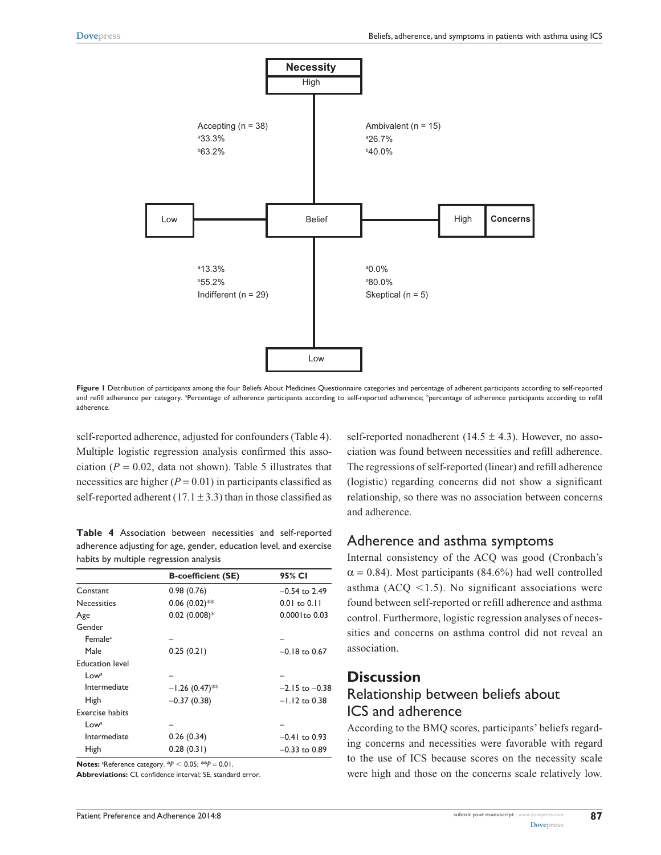

Figure 1 Distribution of participants among the four Beliefs About Medicines Questionnaire categories and percentage of adherent participants according to self-reported and refill adherence per category. <sup>a</sup>Percentage of adherence participants according to self-reported adherence; <sup>b</sup>percentage of adherence participants according to refill adherence.

self-reported adherence, adjusted for confounders (Table 4). Multiple logistic regression analysis confirmed this association  $(P = 0.02$ , data not shown). Table 5 illustrates that necessities are higher  $(P = 0.01)$  in participants classified as self-reported adherent  $(17.1 \pm 3.3)$  than in those classified as

**Table 4** Association between necessities and self-reported adherence adjusting for age, gender, education level, and exercise habits by multiple regression analysis

|                        | <b>B-coefficient (SE)</b> | 95% CI              |
|------------------------|---------------------------|---------------------|
| Constant               | 0.98(0.76)                | $-0.54$ to 2.49     |
| <b>Necessities</b>     | $0.06(0.02)$ **           | $0.01$ to $0.11$    |
| Age                    | $0.02$ (0.008)*           | $0.000$ I to $0.03$ |
| Gender                 |                           |                     |
| Female <sup>a</sup>    |                           |                     |
| Male                   | 0.25(0.21)                | $-0.18$ to 0.67     |
| <b>Education level</b> |                           |                     |
| Low <sup>a</sup>       |                           |                     |
| Intermediate           | $-1.26(0.47)$ **          | $-2.15$ to $-0.38$  |
| High                   | $-0.37(0.38)$             | $-1.12$ to 0.38     |
| <b>Exercise habits</b> |                           |                     |
| Low <sup>a</sup>       |                           |                     |
| Intermediate           | 0.26(0.34)                | $-0.41$ to 0.93     |
| High                   | 0.28(0.31)                | $-0.33$ to 0.89     |
|                        |                           |                     |

**Notes:** <sup>a</sup>Reference category.  $*P < 0.05$ ;  $*P = 0.01$ .

**Abbreviations:** CI, confidence interval; SE, standard error.

self-reported nonadherent (14.5  $\pm$  4.3). However, no association was found between necessities and refill adherence. The regressions of self-reported (linear) and refill adherence (logistic) regarding concerns did not show a significant relationship, so there was no association between concerns and adherence.

#### Adherence and asthma symptoms

Internal consistency of the ACQ was good (Cronbach's  $\alpha$  = 0.84). Most participants (84.6%) had well controlled asthma (ACQ  $\leq$ 1.5). No significant associations were found between self-reported or refill adherence and asthma control. Furthermore, logistic regression analyses of necessities and concerns on asthma control did not reveal an association.

## **Discussion**

# Relationship between beliefs about ICS and adherence

According to the BMQ scores, participants' beliefs regarding concerns and necessities were favorable with regard to the use of ICS because scores on the necessity scale were high and those on the concerns scale relatively low.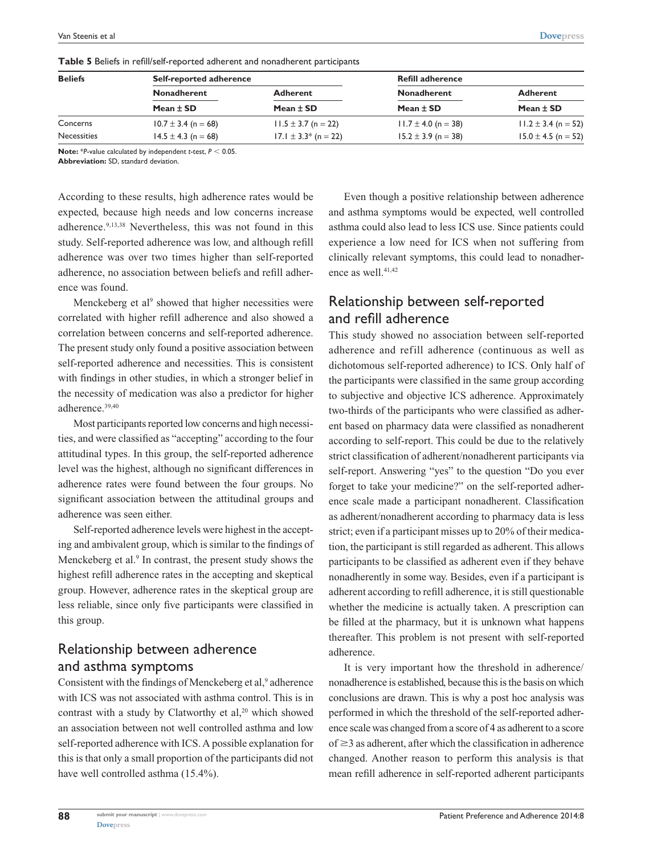| <b>Beliefs</b> | Self-reported adherence             |                                  | <b>Refill adherence</b>             |                                  |
|----------------|-------------------------------------|----------------------------------|-------------------------------------|----------------------------------|
|                | <b>Nonadherent</b><br>Mean $\pm$ SD | <b>Adherent</b><br>Mean $\pm$ SD | <b>Nonadherent</b><br>Mean $\pm$ SD | <b>Adherent</b><br>Mean $\pm$ SD |
|                |                                     |                                  |                                     |                                  |
| Necessities    | $14.5 \pm 4.3$ (n = 68)             | $17.1 \pm 3.3^*$ (n = 22)        | $15.2 \pm 3.9$ (n = 38)             | $15.0 \pm 4.5$ (n = 52)          |

**Table 5** Beliefs in refill/self-reported adherent and nonadherent participants

**Note:** \**P*-value calculated by independent *t*-test,  $P < 0.05$ .

**Abbreviation:** SD, standard deviation.

According to these results, high adherence rates would be expected, because high needs and low concerns increase adherence.<sup>9,13,38</sup> Nevertheless, this was not found in this study. Self-reported adherence was low, and although refill adherence was over two times higher than self-reported adherence, no association between beliefs and refill adherence was found.

Menckeberg et al<sup>9</sup> showed that higher necessities were correlated with higher refill adherence and also showed a correlation between concerns and self-reported adherence. The present study only found a positive association between self-reported adherence and necessities. This is consistent with findings in other studies, in which a stronger belief in the necessity of medication was also a predictor for higher adherence.39,40

Most participants reported low concerns and high necessities, and were classified as "accepting" according to the four attitudinal types. In this group, the self-reported adherence level was the highest, although no significant differences in adherence rates were found between the four groups. No significant association between the attitudinal groups and adherence was seen either.

Self-reported adherence levels were highest in the accepting and ambivalent group, which is similar to the findings of Menckeberg et al.<sup>9</sup> In contrast, the present study shows the highest refill adherence rates in the accepting and skeptical group. However, adherence rates in the skeptical group are less reliable, since only five participants were classified in this group.

# Relationship between adherence and asthma symptoms

Consistent with the findings of Menckeberg et al,<sup>9</sup> adherence with ICS was not associated with asthma control. This is in contrast with a study by Clatworthy et al,<sup>20</sup> which showed an association between not well controlled asthma and low self-reported adherence with ICS. A possible explanation for this is that only a small proportion of the participants did not have well controlled asthma (15.4%).

Even though a positive relationship between adherence and asthma symptoms would be expected, well controlled asthma could also lead to less ICS use. Since patients could experience a low need for ICS when not suffering from clinically relevant symptoms, this could lead to nonadherence as well.<sup>41,42</sup>

# Relationship between self-reported and refill adherence

This study showed no association between self-reported adherence and refill adherence (continuous as well as dichotomous self-reported adherence) to ICS. Only half of the participants were classified in the same group according to subjective and objective ICS adherence. Approximately two-thirds of the participants who were classified as adherent based on pharmacy data were classified as nonadherent according to self-report. This could be due to the relatively strict classification of adherent/nonadherent participants via self-report. Answering "yes" to the question "Do you ever forget to take your medicine?" on the self-reported adherence scale made a participant nonadherent. Classification as adherent/nonadherent according to pharmacy data is less strict; even if a participant misses up to 20% of their medication, the participant is still regarded as adherent. This allows participants to be classified as adherent even if they behave nonadherently in some way. Besides, even if a participant is adherent according to refill adherence, it is still questionable whether the medicine is actually taken. A prescription can be filled at the pharmacy, but it is unknown what happens thereafter. This problem is not present with self-reported adherence.

It is very important how the threshold in adherence/ nonadherence is established, because this is the basis on which conclusions are drawn. This is why a post hoc analysis was performed in which the threshold of the self-reported adherence scale was changed from a score of 4 as adherent to a score of  $\geq$ 3 as adherent, after which the classification in adherence changed. Another reason to perform this analysis is that mean refill adherence in self-reported adherent participants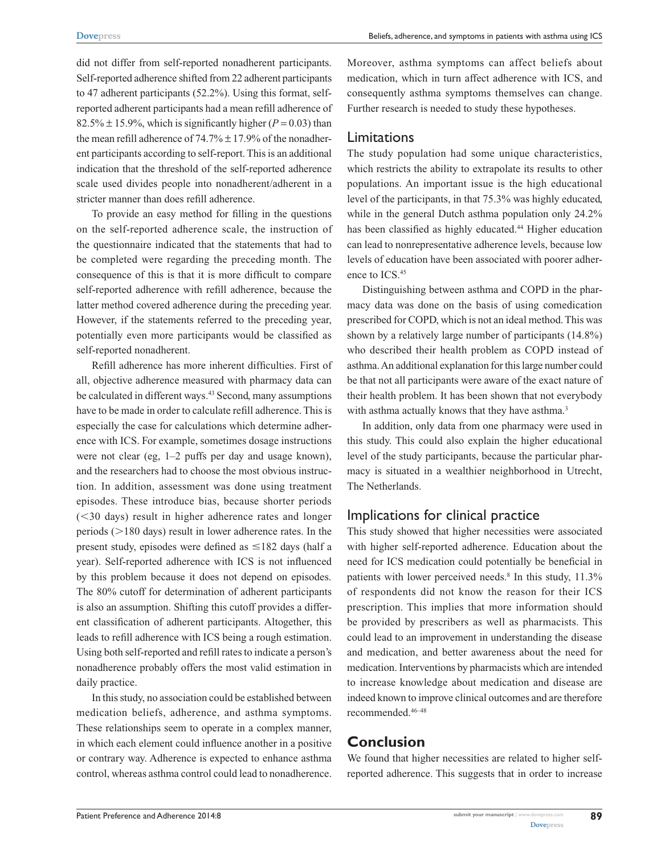did not differ from self-reported nonadherent participants. Self-reported adherence shifted from 22 adherent participants to 47 adherent participants (52.2%). Using this format, selfreported adherent participants had a mean refill adherence of 82.5%  $\pm$  15.9%, which is significantly higher ( $P = 0.03$ ) than the mean refill adherence of  $74.7\% \pm 17.9\%$  of the nonadherent participants according to self-report. This is an additional indication that the threshold of the self-reported adherence scale used divides people into nonadherent/adherent in a stricter manner than does refill adherence.

To provide an easy method for filling in the questions on the self-reported adherence scale, the instruction of the questionnaire indicated that the statements that had to be completed were regarding the preceding month. The consequence of this is that it is more difficult to compare self-reported adherence with refill adherence, because the latter method covered adherence during the preceding year. However, if the statements referred to the preceding year, potentially even more participants would be classified as self-reported nonadherent.

Refill adherence has more inherent difficulties. First of all, objective adherence measured with pharmacy data can be calculated in different ways.<sup>43</sup> Second, many assumptions have to be made in order to calculate refill adherence. This is especially the case for calculations which determine adherence with ICS. For example, sometimes dosage instructions were not clear (eg, 1–2 puffs per day and usage known), and the researchers had to choose the most obvious instruction. In addition, assessment was done using treatment episodes. These introduce bias, because shorter periods  $(<$ 30 days) result in higher adherence rates and longer periods  $(>180$  days) result in lower adherence rates. In the present study, episodes were defined as  $\leq$ 182 days (half a year). Self-reported adherence with ICS is not influenced by this problem because it does not depend on episodes. The 80% cutoff for determination of adherent participants is also an assumption. Shifting this cutoff provides a different classification of adherent participants. Altogether, this leads to refill adherence with ICS being a rough estimation. Using both self-reported and refill rates to indicate a person's nonadherence probably offers the most valid estimation in daily practice.

In this study, no association could be established between medication beliefs, adherence, and asthma symptoms. These relationships seem to operate in a complex manner, in which each element could influence another in a positive or contrary way. Adherence is expected to enhance asthma control, whereas asthma control could lead to nonadherence.

Moreover, asthma symptoms can affect beliefs about medication, which in turn affect adherence with ICS, and consequently asthma symptoms themselves can change. Further research is needed to study these hypotheses.

#### Limitations

The study population had some unique characteristics, which restricts the ability to extrapolate its results to other populations. An important issue is the high educational level of the participants, in that 75.3% was highly educated, while in the general Dutch asthma population only 24.2% has been classified as highly educated.<sup>44</sup> Higher education can lead to nonrepresentative adherence levels, because low levels of education have been associated with poorer adherence to ICS.45

Distinguishing between asthma and COPD in the pharmacy data was done on the basis of using comedication prescribed for COPD, which is not an ideal method. This was shown by a relatively large number of participants (14.8%) who described their health problem as COPD instead of asthma. An additional explanation for this large number could be that not all participants were aware of the exact nature of their health problem. It has been shown that not everybody with asthma actually knows that they have asthma.<sup>3</sup>

In addition, only data from one pharmacy were used in this study. This could also explain the higher educational level of the study participants, because the particular pharmacy is situated in a wealthier neighborhood in Utrecht, The Netherlands.

### Implications for clinical practice

This study showed that higher necessities were associated with higher self-reported adherence. Education about the need for ICS medication could potentially be beneficial in patients with lower perceived needs.<sup>8</sup> In this study, 11.3% of respondents did not know the reason for their ICS prescription. This implies that more information should be provided by prescribers as well as pharmacists. This could lead to an improvement in understanding the disease and medication, and better awareness about the need for medication. Interventions by pharmacists which are intended to increase knowledge about medication and disease are indeed known to improve clinical outcomes and are therefore recommended.46–48

# **Conclusion**

We found that higher necessities are related to higher selfreported adherence. This suggests that in order to increase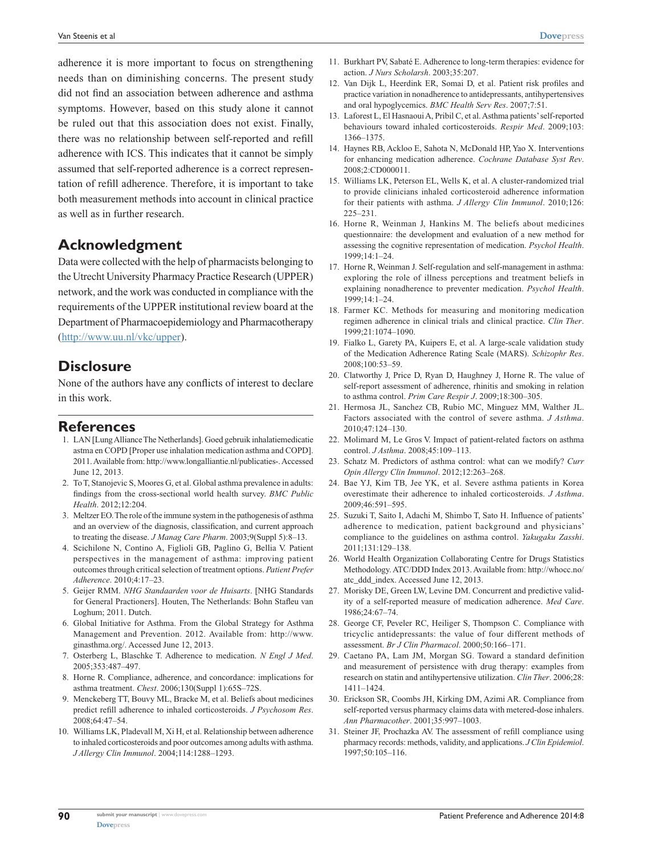adherence it is more important to focus on strengthening needs than on diminishing concerns. The present study did not find an association between adherence and asthma symptoms. However, based on this study alone it cannot be ruled out that this association does not exist. Finally, there was no relationship between self-reported and refill adherence with ICS. This indicates that it cannot be simply assumed that self-reported adherence is a correct representation of refill adherence. Therefore, it is important to take both measurement methods into account in clinical practice as well as in further research.

## **Acknowledgment**

Data were collected with the help of pharmacists belonging to the Utrecht University Pharmacy Practice Research (UPPER) network, and the work was conducted in compliance with the requirements of the UPPER institutional review board at the Department of Pharmacoepidemiology and Pharmacotherapy [\(http://www.uu.nl/vkc/upper](http://www.uu.nl/vkc/upper)).

#### **Disclosure**

None of the authors have any conflicts of interest to declare in this work.

#### **References**

- 1. LAN [Lung Alliance The Netherlands]. Goed gebruik inhalatiemedicatie astma en COPD [Proper use inhalation medication asthma and COPD]. 2011. Available from: [http://www.longalliantie.nl/publicaties-.](http://www.longalliantie.nl/publicaties-) Accessed June 12, 2013.
- 2. To T, Stanojevic S, Moores G, et al. Global asthma prevalence in adults: findings from the cross-sectional world health survey. *BMC Public Health*. 2012;12:204.
- 3. Meltzer EO. The role of the immune system in the pathogenesis of asthma and an overview of the diagnosis, classification, and current approach to treating the disease. *J Manag Care Pharm*. 2003;9(Suppl 5):8–13.
- 4. Scichilone N, Contino A, Figlioli GB, Paglino G, Bellia V. Patient perspectives in the management of asthma: improving patient outcomes through critical selection of treatment options. *Patient Prefer Adherence*. 2010;4:17–23.
- 5. Geijer RMM. *NHG Standaarden voor de Huisarts*. [NHG Standards for General Practioners]. Houten, The Netherlands: Bohn Stafleu van Loghum; 2011. Dutch.
- 6. Global Initiative for Asthma. From the Global Strategy for Asthma Management and Prevention. 2012. Available from: [http://www.](http://www.ginasthma.org/) [ginasthma.org/](http://www.ginasthma.org/). Accessed June 12, 2013.
- 7. Osterberg L, Blaschke T. Adherence to medication. *N Engl J Med*. 2005;353:487–497.
- 8. Horne R. Compliance, adherence, and concordance: implications for asthma treatment. *Chest*. 2006;130(Suppl 1):65S–72S.
- 9. Menckeberg TT, Bouvy ML, Bracke M, et al. Beliefs about medicines predict refill adherence to inhaled corticosteroids. *J Psychosom Res*. 2008;64:47–54.
- 10. Williams LK, Pladevall M, Xi H, et al. Relationship between adherence to inhaled corticosteroids and poor outcomes among adults with asthma. *J Allergy Clin Immunol*. 2004;114:1288–1293.
- 11. Burkhart PV, Sabaté E. Adherence to long-term therapies: evidence for action. *J Nurs Scholarsh*. 2003;35:207.
- 12. Van Dijk L, Heerdink ER, Somai D, et al. Patient risk profiles and practice variation in nonadherence to antidepressants, antihypertensives and oral hypoglycemics. *BMC Health Serv Res*. 2007;7:51.
- 13. Laforest L, El Hasnaoui A, Pribil C, et al. Asthma patients' self-reported behaviours toward inhaled corticosteroids. *Respir Med*. 2009;103: 1366–1375.
- 14. Haynes RB, Ackloo E, Sahota N, McDonald HP, Yao X. Interventions for enhancing medication adherence. *Cochrane Database Syst Rev*. 2008;2:CD000011.
- 15. Williams LK, Peterson EL, Wells K, et al. A cluster-randomized trial to provide clinicians inhaled corticosteroid adherence information for their patients with asthma. *J Allergy Clin Immunol*. 2010;126: 225–231.
- 16. Horne R, Weinman J, Hankins M. The beliefs about medicines questionnaire: the development and evaluation of a new method for assessing the cognitive representation of medication. *Psychol Health*. 1999;14:1–24.
- 17. Horne R, Weinman J. Self-regulation and self-management in asthma: exploring the role of illness perceptions and treatment beliefs in explaining nonadherence to preventer medication. *Psychol Health*. 1999;14:1–24.
- 18. Farmer KC. Methods for measuring and monitoring medication regimen adherence in clinical trials and clinical practice. *Clin Ther*. 1999;21:1074–1090.
- 19. Fialko L, Garety PA, Kuipers E, et al. A large-scale validation study of the Medication Adherence Rating Scale (MARS). *Schizophr Res*. 2008;100:53–59.
- 20. Clatworthy J, Price D, Ryan D, Haughney J, Horne R. The value of self-report assessment of adherence, rhinitis and smoking in relation to asthma control. *Prim Care Respir J*. 2009;18:300–305.
- 21. Hermosa JL, Sanchez CB, Rubio MC, Minguez MM, Walther JL. Factors associated with the control of severe asthma. *J Asthma*. 2010;47:124–130.
- 22. Molimard M, Le Gros V. Impact of patient-related factors on asthma control. *J Asthma*. 2008;45:109–113.
- 23. Schatz M. Predictors of asthma control: what can we modify? *Curr Opin Allergy Clin Immunol*. 2012;12:263–268.
- 24. Bae YJ, Kim TB, Jee YK, et al. Severe asthma patients in Korea overestimate their adherence to inhaled corticosteroids. *J Asthma*. 2009;46:591–595.
- 25. Suzuki T, Saito I, Adachi M, Shimbo T, Sato H. Influence of patients' adherence to medication, patient background and physicians' compliance to the guidelines on asthma control. *Yakugaku Zasshi*. 2011;131:129–138.
- 26. World Health Organization Collaborating Centre for Drugs Statistics Methodology. ATC/DDD Index 2013. Available from: [http://whocc.no/](http://whocc.no/atc_ddd_index) [atc\\_ddd\\_index.](http://whocc.no/atc_ddd_index) Accessed June 12, 2013.
- 27. Morisky DE, Green LW, Levine DM. Concurrent and predictive validity of a self-reported measure of medication adherence. *Med Care*. 1986;24:67–74.
- 28. George CF, Peveler RC, Heiliger S, Thompson C. Compliance with tricyclic antidepressants: the value of four different methods of assessment. *Br J Clin Pharmacol*. 2000;50:166–171.
- 29. Caetano PA, Lam JM, Morgan SG. Toward a standard definition and measurement of persistence with drug therapy: examples from research on statin and antihypertensive utilization. *Clin Ther*. 2006;28: 1411–1424.
- 30. Erickson SR, Coombs JH, Kirking DM, Azimi AR. Compliance from self-reported versus pharmacy claims data with metered-dose inhalers. *Ann Pharmacother*. 2001;35:997–1003.
- 31. Steiner JF, Prochazka AV. The assessment of refill compliance using pharmacy records: methods, validity, and applications. *J Clin Epidemiol*. 1997;50:105–116.

**90**